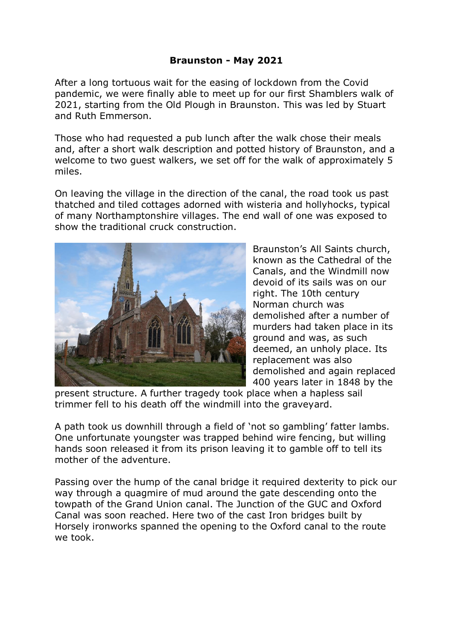## **Braunston - May 2021**

After a long tortuous wait for the easing of lockdown from the Covid pandemic, we were finally able to meet up for our first Shamblers walk of 2021, starting from the Old Plough in Braunston. This was led by Stuart and Ruth Emmerson.

Those who had requested a pub lunch after the walk chose their meals and, after a short walk description and potted history of Braunston, and a welcome to two guest walkers, we set off for the walk of approximately 5 miles.

On leaving the village in the direction of the canal, the road took us past thatched and tiled cottages adorned with wisteria and hollyhocks, typical of many Northamptonshire villages. The end wall of one was exposed to show the traditional cruck construction.



Braunston's All Saints church, known as the Cathedral of the Canals, and the Windmill now devoid of its sails was on our right. The 10th century Norman church was demolished after a number of murders had taken place in its ground and was, as such deemed, an unholy place. Its replacement was also demolished and again replaced 400 years later in 1848 by the

present structure. A further tragedy took place when a hapless sail trimmer fell to his death off the windmill into the graveyard.

A path took us downhill through a field of 'not so gambling' fatter lambs. One unfortunate youngster was trapped behind wire fencing, but willing hands soon released it from its prison leaving it to gamble off to tell its mother of the adventure.

Passing over the hump of the canal bridge it required dexterity to pick our way through a quagmire of mud around the gate descending onto the towpath of the Grand Union canal. The Junction of the GUC and Oxford Canal was soon reached. Here two of the cast Iron bridges built by Horsely ironworks spanned the opening to the Oxford canal to the route we took.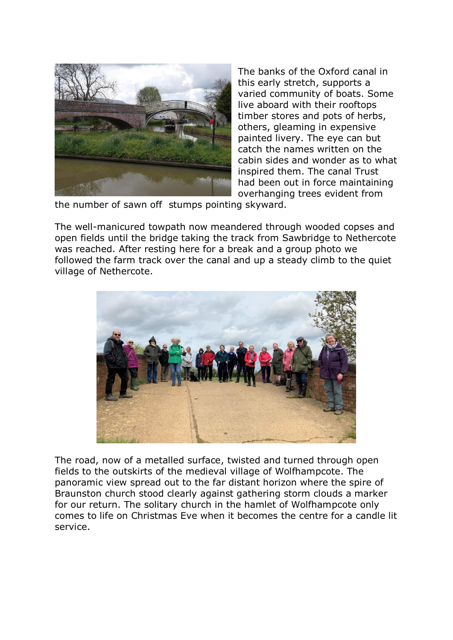

The banks of the Oxford canal in this early stretch, supports a varied community of boats. Some live aboard with their rooftops timber stores and pots of herbs, others, gleaming in expensive painted livery. The eye can but catch the names written on the cabin sides and wonder as to what inspired them. The canal Trust had been out in force maintaining overhanging trees evident from

the number of sawn off stumps pointing skyward.

The well-manicured towpath now meandered through wooded copses and open fields until the bridge taking the track from Sawbridge to Nethercote was reached. After resting here for a break and a group photo we followed the farm track over the canal and up a steady climb to the quiet village of Nethercote.



The road, now of a metalled surface, twisted and turned through open fields to the outskirts of the medieval village of Wolfhampcote. The panoramic view spread out to the far distant horizon where the spire of Braunston church stood clearly against gathering storm clouds a marker for our return. The solitary church in the hamlet of Wolfhampcote only comes to life on Christmas Eve when it becomes the centre for a candle lit service.